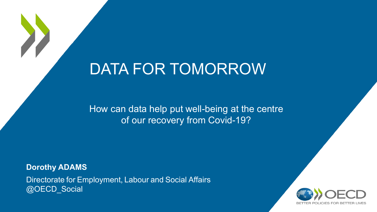# DATA FOR TOMORROW

How can data help put well-being at the centre of our recovery from Covid-19?

Directorate for Employment, Labour and Social Affairs @OECD\_Social **Dorothy ADAMS** 

X

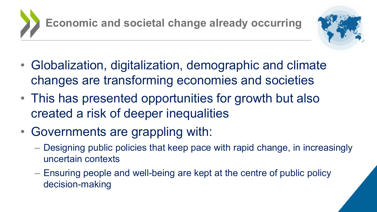



- Globalization, digitalization, demographic and climate changes are transforming economies and societies
- This has presented opportunities for growth but also created a risk of deeper inequalities
- Governments are grappling with:
	- Designing public policies that keep pace with rapid change, in increasingly uncertain contexts
	- Ensuring people and well-being are kept at the centre of public policy decision-making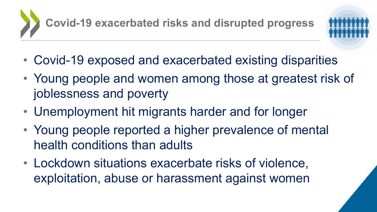

- Covid-19 exposed and exacerbated existing disparities
- Young people and women among those at greatest risk of joblessness and poverty
- Unemployment hit migrants harder and for longer
- Young people reported a higher prevalence of mental health conditions than adults
- Lockdown situations exacerbate risks of violence, exploitation, abuse or harassment against women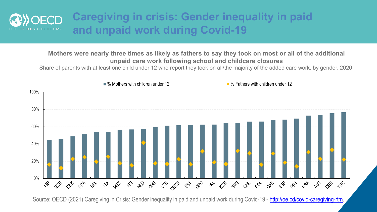

### **Caregiving in crisis: Gender inequality in paid and unpaid work during Covid-19**

#### **Mothers were nearly three times as likely as fathers to say they took on most or all of the additional unpaid care work following school and childcare closures**

Share of parents with at least one child under 12 who report they took on all/the majority of the added care work, by gender, 2020.



Source: OECD (2021) Caregiving in Crisis: Gender inequality in paid and unpaid work during Covid-19 - [http://oe.cd/covid-caregiving-rtm.](http://oe.cd/covid-caregiving-rtm)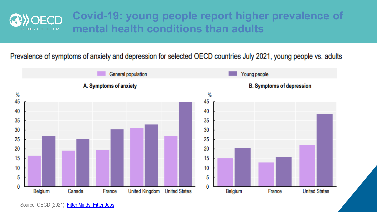

### **Covid-19: young people report higher prevalence of mental health conditions than adults**

Prevalence of symptoms of anxiety and depression for selected OECD countries July 2021, young people vs. adults

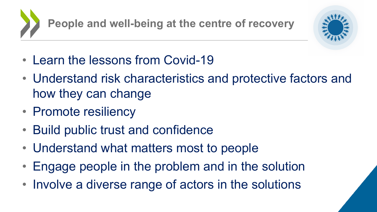**People and well-being at the centre of recovery**



- Learn the lessons from Covid-19
- Understand risk characteristics and protective factors and how they can change
- Promote resiliency
- Build public trust and confidence
- Understand what matters most to people
- Engage people in the problem and in the solution
- Involve a diverse range of actors in the solutions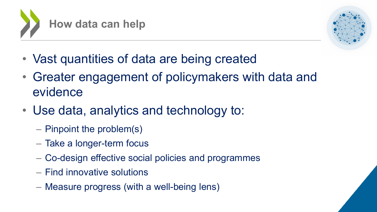



- Vast quantities of data are being created
- Greater engagement of policymakers with data and evidence
- Use data, analytics and technology to:
	- Pinpoint the problem(s)
	- Take a longer-term focus
	- Co-design effective social policies and programmes
	- Find innovative solutions
	- Measure progress (with a well-being lens)